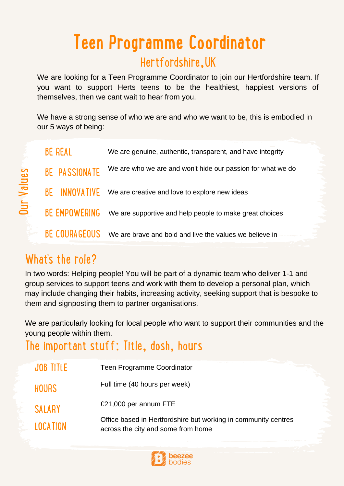# Hertfordshire,UK **Teen Programme Coordinator**

We are looking for a Teen Programme Coordinator to join our Hertfordshire team. If you want to support Herts teens to be the healthiest, happiest versions of themselves, then we cant wait to hear from you.

We have a strong sense of who we are and who we want to be, this is embodied in our 5 ways of being:

| <b>BE REAL</b>       | We are genuine, authentic, transparent, and have integrity  |
|----------------------|-------------------------------------------------------------|
| <b>BE PASSIONATE</b> | We are who we are and won't hide our passion for what we do |
| <b>BE INNOVATIVE</b> | We are creative and love to explore new ideas               |
| <b>BE EMPOWERING</b> | We are supportive and help people to make great choices     |
| BE COURAGEOUS        | We are brave and bold and live the values we believe in     |

#### What's the role?

O $\blacksquare$ ے  $\bm{\ge}$  $\equiv$ e $\boldsymbol{\varsigma}$ 

> In two words: Helping people! You will be part of a dynamic team who deliver 1-1 and group services to support teens and work with them to develop a personal plan, which may include changing their habits, increasing activity, seeking support that is bespoke to them and signposting them to partner organisations.

We are particularly looking for local people who want to support their communities and the young people within them.

#### The important stuff: Title, dosh, hours

| JOB TITLE       | <b>Teen Programme Coordinator</b>                                                                    |
|-----------------|------------------------------------------------------------------------------------------------------|
| <b>HOURS</b>    | Full time (40 hours per week)                                                                        |
| <b>SALARY</b>   | £21,000 per annum FTE                                                                                |
| <b>LOCATION</b> | Office based in Hertfordshire but working in community centres<br>across the city and some from home |

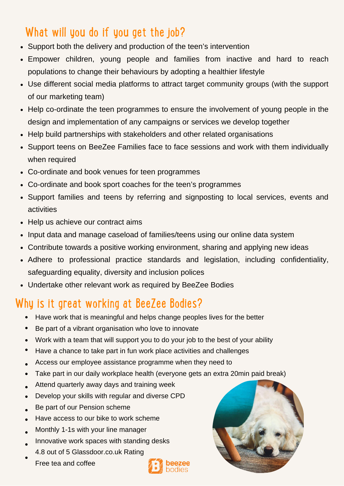# What will you do if you get the job?

- Support both the delivery and production of the teen's intervention
- Empower children, young people and families from inactive and hard to reach populations to change their behaviours by adopting a healthier lifestyle
- Use different social media platforms to attract target community groups (with the support of our marketing team)
- Help co-ordinate the teen programmes to ensure the involvement of young people in the design and implementation of any campaigns or services we develop together
- Help build partnerships with stakeholders and other related organisations
- Support teens on BeeZee Families face to face sessions and work with them individually when required
- Co-ordinate and book venues for teen programmes
- Co-ordinate and book sport coaches for the teen's programmes
- Support families and teens by referring and signposting to local services, events and activities
- Help us achieve our contract aims
- Input data and manage caseload of families/teens using our online data system
- Contribute towards a positive working environment, sharing and applying new ideas
- Adhere to professional practice standards and legislation, including confidentiality, safeguarding equality, diversity and inclusion polices
- Undertake other relevant work as required by BeeZee Bodies

### Why is it great working at BeeZee Bodies?

- Have work that is meaningful and helps change peoples lives for the better
- $\bullet$ Be part of a vibrant organisation who love to innovate
- Work with a team that will support you to do your job to the best of your ability  $\bullet$
- Have a chance to take part in fun work place activities and challenges
- Access our employee assistance programme when they need to
- Take part in our daily workplace health (everyone gets an extra 20min paid break)  $\bullet$
- Attend quarterly away days and training week  $\bullet$
- Develop your skills with regular and diverse CPD  $\bullet$
- Be part of our Pension scheme
- Have access to our bike to work scheme  $\bullet$
- Monthly 1-1s with your line manager  $\bullet$
- Innovative work spaces with standing desks  $\bullet$
- 4.8 out of 5 Glassdoor.co.uk Rating  $\bullet$ 
	- Free tea and coffee



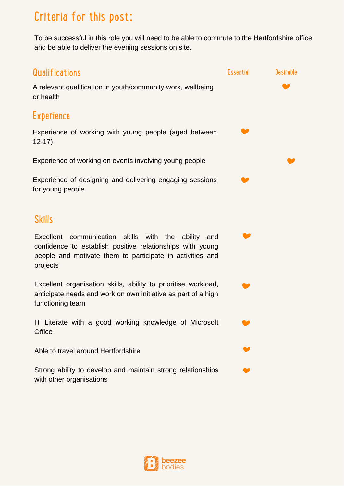# Criteria for this post:

To be successful in this role you will need to be able to commute to the Hertfordshire office and be able to deliver the evening sessions on site.